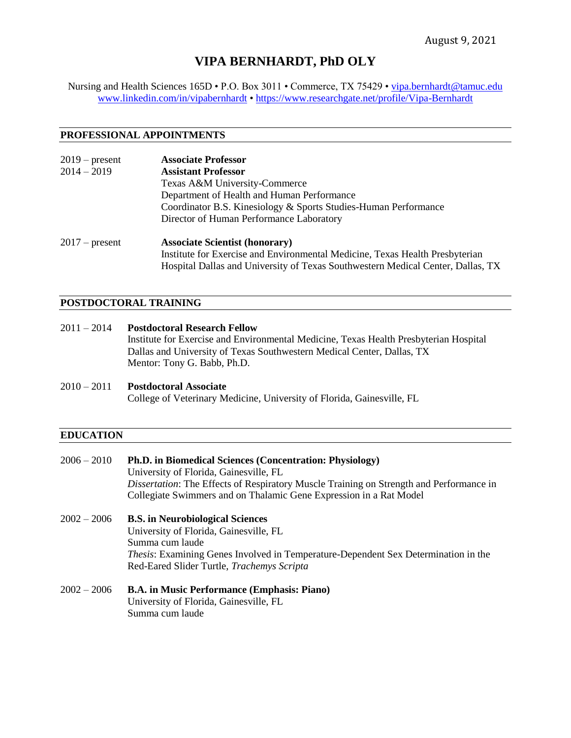# **VIPA BERNHARDT, PhD OLY**

Nursing and Health Sciences 165D • P.O. Box 3011 • Commerce, TX 75429 • [vipa.bernhardt@tamuc.edu](mailto:vipa.bernhardt@tamuc.edu) [www.linkedin.com/in/vipabernhardt](http://www.linkedin.com/in/vipabernhardt) •<https://www.researchgate.net/profile/Vipa-Bernhardt>

### **PROFESSIONAL APPOINTMENTS**

| $2019$ – present | <b>Associate Professor</b>                                                      |  |  |
|------------------|---------------------------------------------------------------------------------|--|--|
| $2014 - 2019$    | <b>Assistant Professor</b>                                                      |  |  |
|                  | Texas A&M University-Commerce                                                   |  |  |
|                  | Department of Health and Human Performance                                      |  |  |
|                  | Coordinator B.S. Kinesiology & Sports Studies-Human Performance                 |  |  |
|                  | Director of Human Performance Laboratory                                        |  |  |
| $2017$ – present | <b>Associate Scientist (honorary)</b>                                           |  |  |
|                  | Institute for Exercise and Environmental Medicine, Texas Health Presbyterian    |  |  |
|                  | Hospital Dallas and University of Texas Southwestern Medical Center, Dallas, TX |  |  |

## **POSTDOCTORAL TRAINING**

| $2011 - 2014$ | <b>Postdoctoral Research Fellow</b>                                                   |
|---------------|---------------------------------------------------------------------------------------|
|               | Institute for Exercise and Environmental Medicine, Texas Health Presbyterian Hospital |
|               | Dallas and University of Texas Southwestern Medical Center, Dallas, TX                |
|               | Mentor: Tony G. Babb, Ph.D.                                                           |
|               |                                                                                       |

## 2010 – 2011 **Postdoctoral Associate** College of Veterinary Medicine, University of Florida, Gainesville, FL

### **EDUCATION**

| $2006 - 2010$ | Ph.D. in Biomedical Sciences (Concentration: Physiology)<br>University of Florida, Gainesville, FL<br><i>Dissertation:</i> The Effects of Respiratory Muscle Training on Strength and Performance in<br>Collegiate Swimmers and on Thalamic Gene Expression in a Rat Model |
|---------------|----------------------------------------------------------------------------------------------------------------------------------------------------------------------------------------------------------------------------------------------------------------------------|
| $2002 - 2006$ | <b>B.S.</b> in Neurobiological Sciences<br>University of Florida, Gainesville, FL<br>Summa cum laude<br><i>Thesis:</i> Examining Genes Involved in Temperature-Dependent Sex Determination in the<br>Red-Eared Slider Turtle, Trachemys Scripta                            |
| $2002 - 2006$ | <b>B.A.</b> in Music Performance (Emphasis: Piano)<br>University of Florida, Gainesville, FL                                                                                                                                                                               |

Summa cum laude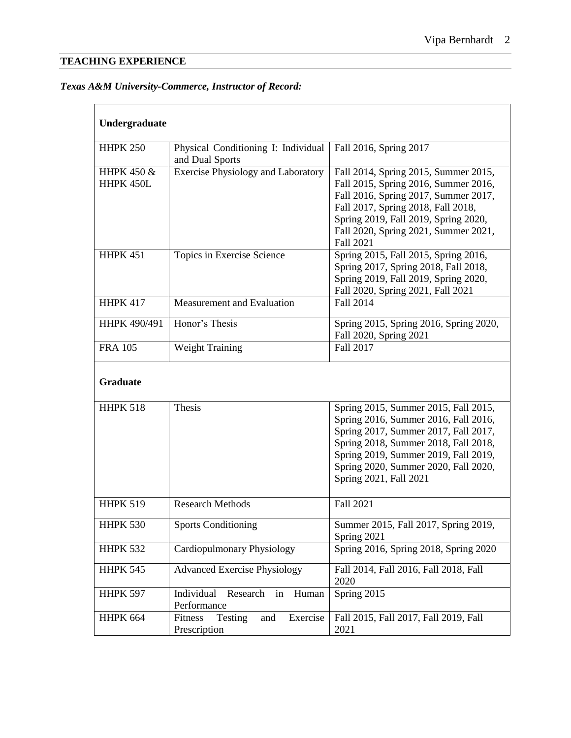# **TEACHING EXPERIENCE**

# *Texas A&M University-Commerce, Instructor of Record:*

| Undergraduate           |                                                              |                                                                                                                                                                                                                                                                        |  |  |
|-------------------------|--------------------------------------------------------------|------------------------------------------------------------------------------------------------------------------------------------------------------------------------------------------------------------------------------------------------------------------------|--|--|
| <b>HHPK 250</b>         | Physical Conditioning I: Individual<br>and Dual Sports       | Fall 2016, Spring 2017                                                                                                                                                                                                                                                 |  |  |
| HHPK 450 &<br>HHPK 450L | <b>Exercise Physiology and Laboratory</b>                    | Fall 2014, Spring 2015, Summer 2015,<br>Fall 2015, Spring 2016, Summer 2016,<br>Fall 2016, Spring 2017, Summer 2017,<br>Fall 2017, Spring 2018, Fall 2018,<br>Spring 2019, Fall 2019, Spring 2020,<br>Fall 2020, Spring 2021, Summer 2021,<br><b>Fall 2021</b>         |  |  |
| <b>HHPK 451</b>         | Topics in Exercise Science                                   | Spring 2015, Fall 2015, Spring 2016,<br>Spring 2017, Spring 2018, Fall 2018,<br>Spring 2019, Fall 2019, Spring 2020,<br>Fall 2020, Spring 2021, Fall 2021                                                                                                              |  |  |
| <b>HHPK 417</b>         | Measurement and Evaluation                                   | Fall 2014                                                                                                                                                                                                                                                              |  |  |
| HHPK 490/491            | Honor's Thesis                                               | Spring 2015, Spring 2016, Spring 2020,<br>Fall 2020, Spring 2021                                                                                                                                                                                                       |  |  |
| <b>FRA 105</b>          | Weight Training                                              | Fall 2017                                                                                                                                                                                                                                                              |  |  |
| <b>Graduate</b>         |                                                              |                                                                                                                                                                                                                                                                        |  |  |
| <b>HHPK 518</b>         | <b>Thesis</b>                                                | Spring 2015, Summer 2015, Fall 2015,<br>Spring 2016, Summer 2016, Fall 2016,<br>Spring 2017, Summer 2017, Fall 2017,<br>Spring 2018, Summer 2018, Fall 2018,<br>Spring 2019, Summer 2019, Fall 2019,<br>Spring 2020, Summer 2020, Fall 2020,<br>Spring 2021, Fall 2021 |  |  |
| <b>HHPK 519</b>         | <b>Research Methods</b>                                      | Fall 2021                                                                                                                                                                                                                                                              |  |  |
| <b>HHPK 530</b>         | <b>Sports Conditioning</b>                                   | Summer 2015, Fall 2017, Spring 2019,<br>Spring 2021                                                                                                                                                                                                                    |  |  |
| <b>HHPK 532</b>         | Cardiopulmonary Physiology                                   | Spring 2016, Spring 2018, Spring 2020                                                                                                                                                                                                                                  |  |  |
| <b>HHPK 545</b>         | <b>Advanced Exercise Physiology</b>                          | Fall 2014, Fall 2016, Fall 2018, Fall<br>2020                                                                                                                                                                                                                          |  |  |
| <b>HHPK 597</b>         | Individual<br>Research<br>in<br>Human<br>Performance         | Spring 2015                                                                                                                                                                                                                                                            |  |  |
| <b>HHPK 664</b>         | Exercise<br>Testing<br><b>Fitness</b><br>and<br>Prescription | Fall 2015, Fall 2017, Fall 2019, Fall<br>2021                                                                                                                                                                                                                          |  |  |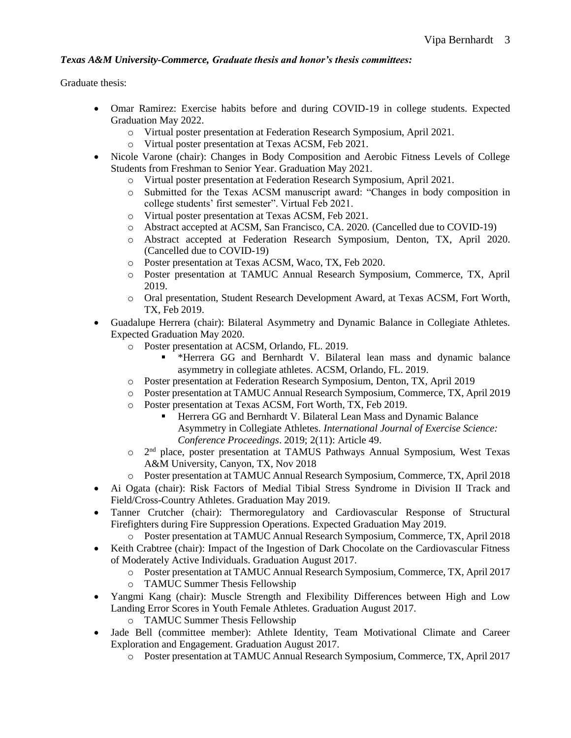## *Texas A&M University-Commerce, Graduate thesis and honor's thesis committees:*

Graduate thesis:

- Omar Ramirez: Exercise habits before and during COVID-19 in college students. Expected Graduation May 2022.
	- o Virtual poster presentation at Federation Research Symposium, April 2021.
	- o Virtual poster presentation at Texas ACSM, Feb 2021.
- Nicole Varone (chair): Changes in Body Composition and Aerobic Fitness Levels of College Students from Freshman to Senior Year. Graduation May 2021.
	- o Virtual poster presentation at Federation Research Symposium, April 2021.
	- o Submitted for the Texas ACSM manuscript award: "Changes in body composition in college students' first semester". Virtual Feb 2021.
	- o Virtual poster presentation at Texas ACSM, Feb 2021.
	- o Abstract accepted at ACSM, San Francisco, CA. 2020. (Cancelled due to COVID-19)
	- o Abstract accepted at Federation Research Symposium, Denton, TX, April 2020. (Cancelled due to COVID-19)
	- o Poster presentation at Texas ACSM, Waco, TX, Feb 2020.
	- o Poster presentation at TAMUC Annual Research Symposium, Commerce, TX, April 2019.
	- o Oral presentation, Student Research Development Award, at Texas ACSM, Fort Worth, TX, Feb 2019.
- Guadalupe Herrera (chair): Bilateral Asymmetry and Dynamic Balance in Collegiate Athletes. Expected Graduation May 2020.
	- o Poster presentation at ACSM, Orlando, FL. 2019.
		- \*Herrera GG and Bernhardt V. Bilateral lean mass and dynamic balance asymmetry in collegiate athletes. ACSM, Orlando, FL. 2019.
	- o Poster presentation at Federation Research Symposium, Denton, TX, April 2019
	- o Poster presentation at TAMUC Annual Research Symposium, Commerce, TX, April 2019
	- o Poster presentation at Texas ACSM, Fort Worth, TX, Feb 2019.
		- **Herrera GG and Bernhardt V. Bilateral Lean Mass and Dynamic Balance** Asymmetry in Collegiate Athletes. *International Journal of Exercise Science: Conference Proceedings*. 2019; 2(11): Article 49.
	- o 2<sup>nd</sup> place, poster presentation at TAMUS Pathways Annual Symposium, West Texas A&M University, Canyon, TX, Nov 2018
	- o Poster presentation at TAMUC Annual Research Symposium, Commerce, TX, April 2018
- Ai Ogata (chair): Risk Factors of Medial Tibial Stress Syndrome in Division II Track and Field/Cross-Country Athletes. Graduation May 2019.
- Tanner Crutcher (chair): Thermoregulatory and Cardiovascular Response of Structural Firefighters during Fire Suppression Operations. Expected Graduation May 2019.
	- o Poster presentation at TAMUC Annual Research Symposium, Commerce, TX, April 2018
- Keith Crabtree (chair): Impact of the Ingestion of Dark Chocolate on the Cardiovascular Fitness of Moderately Active Individuals. Graduation August 2017.
	- o Poster presentation at TAMUC Annual Research Symposium, Commerce, TX, April 2017
	- o TAMUC Summer Thesis Fellowship
- Yangmi Kang (chair): Muscle Strength and Flexibility Differences between High and Low Landing Error Scores in Youth Female Athletes. Graduation August 2017.
	- o TAMUC Summer Thesis Fellowship
- Jade Bell (committee member): Athlete Identity, Team Motivational Climate and Career Exploration and Engagement. Graduation August 2017.
	- o Poster presentation at TAMUC Annual Research Symposium, Commerce, TX, April 2017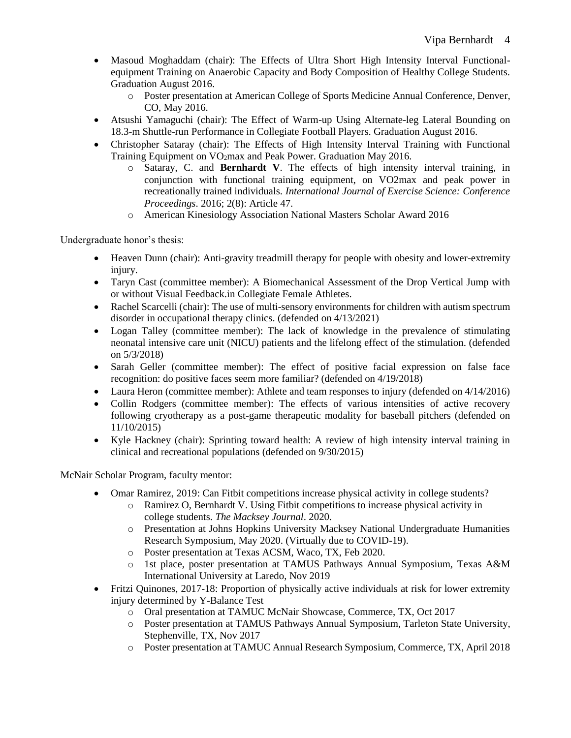- Masoud Moghaddam (chair): The Effects of Ultra Short High Intensity Interval Functionalequipment Training on Anaerobic Capacity and Body Composition of Healthy College Students. Graduation August 2016.
	- o Poster presentation at American College of Sports Medicine Annual Conference, Denver, CO, May 2016.
- Atsushi Yamaguchi (chair): The Effect of Warm-up Using Alternate-leg Lateral Bounding on 18.3-m Shuttle-run Performance in Collegiate Football Players. Graduation August 2016.
- Christopher Sataray (chair): The Effects of High Intensity Interval Training with Functional Training Equipment on  $VO<sub>2</sub>$  max and Peak Power. Graduation May 2016.
	- o Sataray, C. and **Bernhardt V**. The effects of high intensity interval training, in conjunction with functional training equipment, on VO2max and peak power in recreationally trained individuals. *International Journal of Exercise Science: Conference Proceedings*. 2016; 2(8): Article 47.
	- o American Kinesiology Association National Masters Scholar Award 2016

Undergraduate honor's thesis:

- Heaven Dunn (chair): Anti-gravity treadmill therapy for people with obesity and lower-extremity injury.
- Taryn Cast (committee member): A Biomechanical Assessment of the Drop Vertical Jump with or without Visual Feedback.in Collegiate Female Athletes.
- Rachel Scarcelli (chair): The use of multi-sensory environments for children with autism spectrum disorder in occupational therapy clinics. (defended on 4/13/2021)
- Logan Talley (committee member): The lack of knowledge in the prevalence of stimulating neonatal intensive care unit (NICU) patients and the lifelong effect of the stimulation. (defended on 5/3/2018)
- Sarah Geller (committee member): The effect of positive facial expression on false face recognition: do positive faces seem more familiar? (defended on 4/19/2018)
- Laura Heron (committee member): Athlete and team responses to injury (defended on 4/14/2016)
- Collin Rodgers (committee member): The effects of various intensities of active recovery following cryotherapy as a post-game therapeutic modality for baseball pitchers (defended on 11/10/2015)
- Kyle Hackney (chair): Sprinting toward health: A review of high intensity interval training in clinical and recreational populations (defended on 9/30/2015)

McNair Scholar Program, faculty mentor:

- Omar Ramirez, 2019: Can Fitbit competitions increase physical activity in college students?
	- o Ramirez O, Bernhardt V. Using Fitbit competitions to increase physical activity in college students. *The Macksey Journal*. 2020.
	- o Presentation at Johns Hopkins University Macksey National Undergraduate Humanities Research Symposium, May 2020. (Virtually due to COVID-19).
	- o Poster presentation at Texas ACSM, Waco, TX, Feb 2020.
	- o 1st place, poster presentation at TAMUS Pathways Annual Symposium, Texas A&M International University at Laredo, Nov 2019
- Fritzi Quinones, 2017-18: Proportion of physically active individuals at risk for lower extremity injury determined by Y-Balance Test
	- o Oral presentation at TAMUC McNair Showcase, Commerce, TX, Oct 2017
	- o Poster presentation at TAMUS Pathways Annual Symposium, Tarleton State University, Stephenville, TX, Nov 2017
	- o Poster presentation at TAMUC Annual Research Symposium, Commerce, TX, April 2018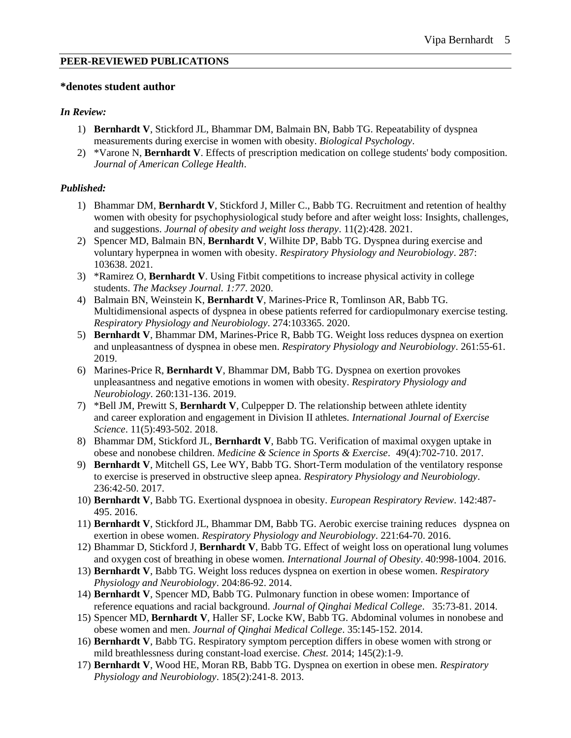#### **PEER-REVIEWED PUBLICATIONS**

### **\*denotes student author**

### *In Review:*

- 1) **Bernhardt V**, Stickford JL, Bhammar DM, Balmain BN, Babb TG. Repeatability of dyspnea measurements during exercise in women with obesity. *Biological Psychology*.
- 2) \*Varone N, **Bernhardt V**. Effects of prescription medication on college students' body composition. *Journal of American College Health*.

### *Published:*

- 1) Bhammar DM, **Bernhardt V**, Stickford J, Miller C., Babb TG. Recruitment and retention of healthy women with obesity for psychophysiological study before and after weight loss: Insights, challenges, and suggestions. *Journal of obesity and weight loss therapy*. 11(2):428. 2021.
- 2) Spencer MD, Balmain BN, **Bernhardt V**, Wilhite DP, Babb TG. Dyspnea during exercise and voluntary hyperpnea in women with obesity. *Respiratory Physiology and Neurobiology*. 287: 103638. 2021.
- 3) \*Ramirez O, **Bernhardt V**. Using Fitbit competitions to increase physical activity in college students. *The Macksey Journal. 1:77*. 2020.
- 4) Balmain BN, Weinstein K, **Bernhardt V**, Marines-Price R, Tomlinson AR, Babb TG. Multidimensional aspects of dyspnea in obese patients referred for cardiopulmonary exercise testing. *Respiratory Physiology and Neurobiology*. 274:103365. 2020.
- 5) **Bernhardt V**, Bhammar DM, Marines-Price R, Babb TG. Weight loss reduces dyspnea on exertion and unpleasantness of dyspnea in obese men. *Respiratory Physiology and Neurobiology*. 261:55-61. 2019.
- 6) Marines-Price R, **Bernhardt V**, Bhammar DM, Babb TG. Dyspnea on exertion provokes unpleasantness and negative emotions in women with obesity. *Respiratory Physiology and Neurobiology*. 260:131-136. 2019.
- 7) \*Bell JM, Prewitt S, **Bernhardt V**, Culpepper D. The relationship between athlete identity and career exploration and engagement in Division II athletes*. International Journal of Exercise Science*. 11(5):493-502. 2018.
- 8) Bhammar DM, Stickford JL, **Bernhardt V**, Babb TG. Verification of maximal oxygen uptake in obese and nonobese children. *Medicine & Science in Sports & Exercise*. 49(4):702-710. 2017.
- 9) **Bernhardt V**, Mitchell GS, Lee WY, Babb TG. Short-Term modulation of the ventilatory response to exercise is preserved in obstructive sleep apnea. *Respiratory Physiology and Neurobiology*. 236:42-50. 2017.
- 10) **Bernhardt V**, Babb TG. Exertional dyspnoea in obesity. *European Respiratory Review*. 142:487- 495. 2016.
- 11) **Bernhardt V**, Stickford JL, Bhammar DM, Babb TG. Aerobic exercise training reduces dyspnea on exertion in obese women. *Respiratory Physiology and Neurobiology*. 221:64-70. 2016.
- 12) Bhammar D, Stickford J, **Bernhardt V**, Babb TG. Effect of weight loss on operational lung volumes and oxygen cost of breathing in obese women. *International Journal of Obesity*. 40:998-1004. 2016.
- 13) **Bernhardt V**, Babb TG. Weight loss reduces dyspnea on exertion in obese women. *Respiratory Physiology and Neurobiology*. 204:86-92. 2014.
- 14) **Bernhardt V**, Spencer MD, Babb TG. Pulmonary function in obese women: Importance of reference equations and racial background. *Journal of Qinghai Medical College*. 35:73-81. 2014.
- 15) Spencer MD, **Bernhardt V**, Haller SF, Locke KW, Babb TG. Abdominal volumes in nonobese and obese women and men. *Journal of Qinghai Medical College*. 35:145-152. 2014.
- 16) **Bernhardt V**, Babb TG. Respiratory symptom perception differs in obese women with strong or mild breathlessness during constant-load exercise. *Chest.* 2014; 145(2):1-9.
- 17) **Bernhardt V**, Wood HE, Moran RB, Babb TG. Dyspnea on exertion in obese men. *Respiratory Physiology and Neurobiology*. 185(2):241-8. 2013.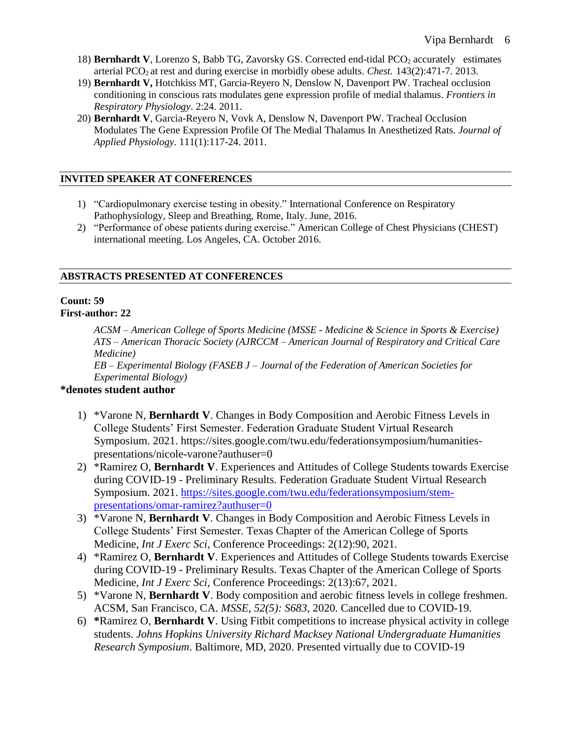- 18) **Bernhardt V**, Lorenzo S, Babb TG, Zavorsky GS. Corrected end-tidal PCO<sub>2</sub> accurately estimates arterial PCO<sub>2</sub> at rest and during exercise in morbidly obese adults. *Chest.* 143(2):471-7. 2013.
- 19) **Bernhardt V,** Hotchkiss MT, Garcia-Reyero N, Denslow N, Davenport PW. Tracheal occlusion conditioning in conscious rats modulates gene expression profile of medial thalamus. *Frontiers in Respiratory Physiology*. 2:24. 2011.
- 20) **Bernhardt V**, Garcia-Reyero N, Vovk A, Denslow N, Davenport PW. Tracheal Occlusion Modulates The Gene Expression Profile Of The Medial Thalamus In Anesthetized Rats. *Journal of Applied Physiology*. 111(1):117-24. 2011.

## **INVITED SPEAKER AT CONFERENCES**

- 1) "Cardiopulmonary exercise testing in obesity." International Conference on Respiratory Pathophysiology, Sleep and Breathing, Rome, Italy. June, 2016.
- 2) "Performance of obese patients during exercise." American College of Chest Physicians (CHEST) international meeting. Los Angeles, CA. October 2016.

## **ABSTRACTS PRESENTED AT CONFERENCES**

# **Count: 59**

## **First-author: 22**

*ACSM – American College of Sports Medicine (MSSE - Medicine & Science in Sports & Exercise) ATS – American Thoracic Society (AJRCCM – American Journal of Respiratory and Critical Care Medicine)*

*EB – Experimental Biology (FASEB J – Journal of the Federation of American Societies for Experimental Biology)*

## **\*denotes student author**

- 1) \*Varone N, **Bernhardt V**. Changes in Body Composition and Aerobic Fitness Levels in College Students' First Semester. Federation Graduate Student Virtual Research Symposium. 2021. https://sites.google.com/twu.edu/federationsymposium/humanitiespresentations/nicole-varone?authuser=0
- 2) \*Ramirez O, **Bernhardt V**. Experiences and Attitudes of College Students towards Exercise during COVID-19 - Preliminary Results. Federation Graduate Student Virtual Research Symposium. 2021. [https://sites.google.com/twu.edu/federationsymposium/stem](https://sites.google.com/twu.edu/federationsymposium/stem-presentations/omar-ramirez?authuser=0)[presentations/omar-ramirez?authuser=0](https://sites.google.com/twu.edu/federationsymposium/stem-presentations/omar-ramirez?authuser=0)
- 3) \*Varone N, **Bernhardt V**. Changes in Body Composition and Aerobic Fitness Levels in College Students' First Semester. Texas Chapter of the American College of Sports Medicine, *Int J Exerc Sci,* Conference Proceedings: 2(12):90, 2021.
- 4) \*Ramirez O, **Bernhardt V**. Experiences and Attitudes of College Students towards Exercise during COVID-19 - Preliminary Results. Texas Chapter of the American College of Sports Medicine, *Int J Exerc Sci,* Conference Proceedings: 2(13):67, 2021.
- 5) \*Varone N, **Bernhardt V**. Body composition and aerobic fitness levels in college freshmen. ACSM, San Francisco, CA. *MSSE, 52(5): S683*, 2020. Cancelled due to COVID-19.
- 6) **\***Ramirez O, **Bernhardt V**. Using Fitbit competitions to increase physical activity in college students. *Johns Hopkins University Richard Macksey National Undergraduate Humanities Research Symposium*. Baltimore, MD, 2020. Presented virtually due to COVID-19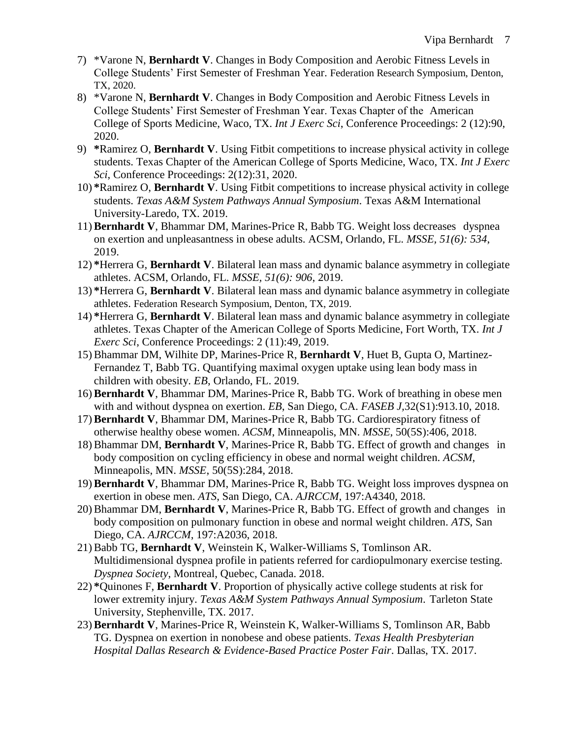- 7) \*Varone N, **Bernhardt V**. Changes in Body Composition and Aerobic Fitness Levels in College Students' First Semester of Freshman Year. Federation Research Symposium, Denton, TX, 2020.
- 8) \*Varone N, **Bernhardt V**. Changes in Body Composition and Aerobic Fitness Levels in College Students' First Semester of Freshman Year. Texas Chapter of the American College of Sports Medicine, Waco, TX. *Int J Exerc Sci*, Conference Proceedings: 2 (12):90, 2020.
- 9) **\***Ramirez O, **Bernhardt V**. Using Fitbit competitions to increase physical activity in college students. Texas Chapter of the American College of Sports Medicine, Waco, TX. *Int J Exerc Sci*, Conference Proceedings: 2(12):31, 2020.
- 10) **\***Ramirez O, **Bernhardt V**. Using Fitbit competitions to increase physical activity in college students. *Texas A&M System Pathways Annual Symposium*. Texas A&M International University-Laredo, TX. 2019.
- 11)**Bernhardt V**, Bhammar DM, Marines-Price R, Babb TG. Weight loss decreases dyspnea on exertion and unpleasantness in obese adults. ACSM, Orlando, FL. *MSSE, 51(6): 534*, 2019.
- 12) **\***Herrera G, **Bernhardt V**. Bilateral lean mass and dynamic balance asymmetry in collegiate athletes. ACSM, Orlando, FL. *MSSE, 51(6): 906*, 2019.
- 13) **\***Herrera G, **Bernhardt V**. Bilateral lean mass and dynamic balance asymmetry in collegiate athletes. Federation Research Symposium, Denton, TX, 2019.
- 14) **\***Herrera G, **Bernhardt V**. Bilateral lean mass and dynamic balance asymmetry in collegiate athletes. Texas Chapter of the American College of Sports Medicine, Fort Worth, TX. *Int J Exerc Sci*, Conference Proceedings: 2 (11):49, 2019.
- 15)Bhammar DM, Wilhite DP, Marines-Price R, **Bernhardt V**, Huet B, Gupta O, Martinez-Fernandez T, Babb TG. Quantifying maximal oxygen uptake using lean body mass in children with obesity. *EB*, Orlando, FL. 2019.
- 16)**Bernhardt V**, Bhammar DM, Marines-Price R, Babb TG. Work of breathing in obese men with and without dyspnea on exertion. *EB*, San Diego, CA. *FASEB J,*32(S1):913.10, 2018.
- 17)**Bernhardt V**, Bhammar DM, Marines-Price R, Babb TG. Cardiorespiratory fitness of otherwise healthy obese women. *ACSM*, Minneapolis, MN. *MSSE*, 50(5S):406, 2018.
- 18)Bhammar DM, **Bernhardt V**, Marines-Price R, Babb TG. Effect of growth and changes in body composition on cycling efficiency in obese and normal weight children. *ACSM*, Minneapolis, MN. *MSSE*, 50(5S):284, 2018.
- 19)**Bernhardt V**, Bhammar DM, Marines-Price R, Babb TG. Weight loss improves dyspnea on exertion in obese men. *ATS*, San Diego, CA. *AJRCCM*, 197:A4340, 2018.
- 20)Bhammar DM, **Bernhardt V**, Marines-Price R, Babb TG. Effect of growth and changes in body composition on pulmonary function in obese and normal weight children. *ATS*, San Diego, CA. *AJRCCM*, 197:A2036, 2018.
- 21)Babb TG, **Bernhardt V**, Weinstein K, Walker-Williams S, Tomlinson AR. Multidimensional dyspnea profile in patients referred for cardiopulmonary exercise testing. *Dyspnea Society*, Montreal, Quebec, Canada. 2018.
- 22) **\***Quinones F, **Bernhardt V**. Proportion of physically active college students at risk for lower extremity injury. *Texas A&M System Pathways Annual Symposium*. Tarleton State University, Stephenville, TX. 2017.
- 23)**Bernhardt V**, Marines-Price R, Weinstein K, Walker-Williams S, Tomlinson AR, Babb TG. Dyspnea on exertion in nonobese and obese patients. *Texas Health Presbyterian Hospital Dallas Research & Evidence-Based Practice Poster Fair*. Dallas, TX. 2017.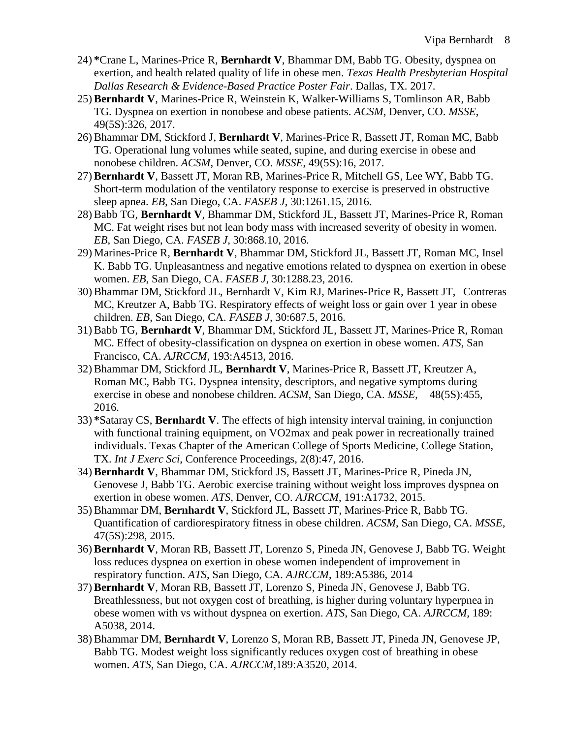- 24) **\***Crane L, Marines-Price R, **Bernhardt V**, Bhammar DM, Babb TG. Obesity, dyspnea on exertion, and health related quality of life in obese men. *Texas Health Presbyterian Hospital Dallas Research & Evidence-Based Practice Poster Fair*. Dallas, TX. 2017.
- 25)**Bernhardt V**, Marines-Price R, Weinstein K, Walker-Williams S, Tomlinson AR, Babb TG. Dyspnea on exertion in nonobese and obese patients. *ACSM*, Denver, CO. *MSSE*, 49(5S):326, 2017.
- 26)Bhammar DM, Stickford J, **Bernhardt V**, Marines-Price R, Bassett JT, Roman MC, Babb TG. Operational lung volumes while seated, supine, and during exercise in obese and nonobese children. *ACSM*, Denver, CO. *MSSE*, 49(5S):16, 2017.
- 27)**Bernhardt V**, Bassett JT, Moran RB, Marines-Price R, Mitchell GS, Lee WY, Babb TG. Short-term modulation of the ventilatory response to exercise is preserved in obstructive sleep apnea. *EB*, San Diego, CA. *FASEB J*, 30:1261.15, 2016.
- 28)Babb TG, **Bernhardt V**, Bhammar DM, Stickford JL, Bassett JT, Marines-Price R, Roman MC. Fat weight rises but not lean body mass with increased severity of obesity in women. *EB*, San Diego, CA. *FASEB J*, 30:868.10, 2016.
- 29) Marines-Price R, **Bernhardt V**, Bhammar DM, Stickford JL, Bassett JT, Roman MC, Insel K. Babb TG. Unpleasantness and negative emotions related to dyspnea on exertion in obese women. *EB*, San Diego, CA. *FASEB J*, 30:1288.23, 2016.
- 30)Bhammar DM, Stickford JL, Bernhardt V, Kim RJ, Marines-Price R, Bassett JT, Contreras MC, Kreutzer A, Babb TG. Respiratory effects of weight loss or gain over 1 year in obese children. *EB*, San Diego, CA. *FASEB J,* 30:687.5, 2016.
- 31)Babb TG, **Bernhardt V**, Bhammar DM, Stickford JL, Bassett JT, Marines-Price R, Roman MC. Effect of obesity-classification on dyspnea on exertion in obese women. *ATS*, San Francisco, CA. *AJRCCM*, 193:A4513, 2016.
- 32)Bhammar DM, Stickford JL, **Bernhardt V**, Marines-Price R, Bassett JT, Kreutzer A, Roman MC, Babb TG. Dyspnea intensity, descriptors, and negative symptoms during exercise in obese and nonobese children. *ACSM*, San Diego, CA. *MSSE*, 48(5S):455, 2016.
- 33) **\***Sataray CS, **Bernhardt V**. The effects of high intensity interval training, in conjunction with functional training equipment, on VO2max and peak power in recreationally trained individuals. Texas Chapter of the American College of Sports Medicine, College Station, TX. *Int J Exerc Sci*, Conference Proceedings, 2(8):47, 2016.
- 34)**Bernhardt V**, Bhammar DM, Stickford JS, Bassett JT, Marines-Price R, Pineda JN, Genovese J, Babb TG. Aerobic exercise training without weight loss improves dyspnea on exertion in obese women. *ATS*, Denver, CO. *AJRCCM*, 191:A1732, 2015.
- 35)Bhammar DM, **Bernhardt V**, Stickford JL, Bassett JT, Marines-Price R, Babb TG. Quantification of cardiorespiratory fitness in obese children. *ACSM*, San Diego, CA. *MSSE,* 47(5S):298, 2015.
- 36)**Bernhardt V**, Moran RB, Bassett JT, Lorenzo S, Pineda JN, Genovese J, Babb TG. Weight loss reduces dyspnea on exertion in obese women independent of improvement in respiratory function. *ATS*, San Diego, CA. *AJRCCM*, 189:A5386, 2014
- 37)**Bernhardt V**, Moran RB, Bassett JT, Lorenzo S, Pineda JN, Genovese J, Babb TG. Breathlessness, but not oxygen cost of breathing, is higher during voluntary hyperpnea in obese women with vs without dyspnea on exertion. *ATS*, San Diego, CA. *AJRCCM,* 189: A5038, 2014.
- 38)Bhammar DM, **Bernhardt V**, Lorenzo S, Moran RB, Bassett JT, Pineda JN, Genovese JP, Babb TG. Modest weight loss significantly reduces oxygen cost of breathing in obese women. *ATS*, San Diego, CA. *AJRCCM,*189:A3520, 2014.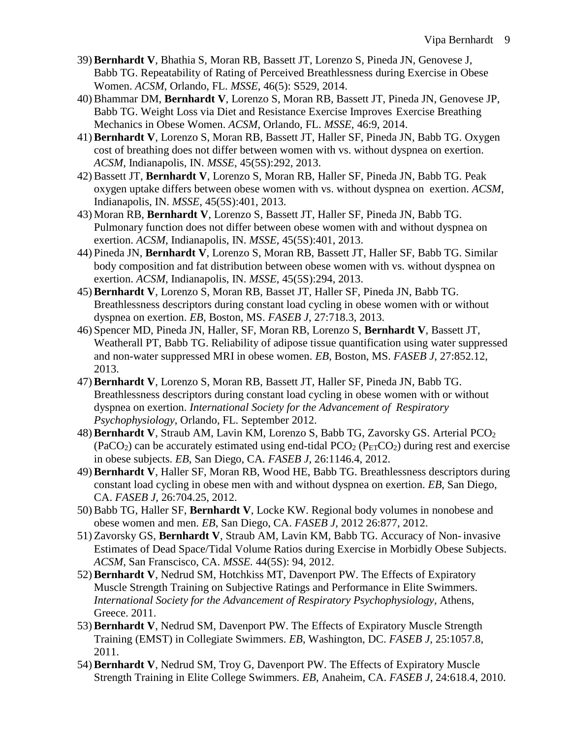- 39)**Bernhardt V**, Bhathia S, Moran RB, Bassett JT, Lorenzo S, Pineda JN, Genovese J, Babb TG. Repeatability of Rating of Perceived Breathlessness during Exercise in Obese Women. *ACSM*, Orlando, FL. *MSSE*, 46(5): S529, 2014.
- 40)Bhammar DM, **Bernhardt V**, Lorenzo S, Moran RB, Bassett JT, Pineda JN, Genovese JP, Babb TG. Weight Loss via Diet and Resistance Exercise Improves Exercise Breathing Mechanics in Obese Women. *ACSM*, Orlando, FL. *MSSE*, 46:9, 2014.
- 41)**Bernhardt V**, Lorenzo S, Moran RB, Bassett JT, Haller SF, Pineda JN, Babb TG. Oxygen cost of breathing does not differ between women with vs. without dyspnea on exertion. *ACSM*, Indianapolis, IN. *MSSE*, 45(5S):292, 2013.
- 42)Bassett JT, **Bernhardt V**, Lorenzo S, Moran RB, Haller SF, Pineda JN, Babb TG. Peak oxygen uptake differs between obese women with vs. without dyspnea on exertion. *ACSM*, Indianapolis, IN. *MSSE*, 45(5S):401, 2013.
- 43) Moran RB, **Bernhardt V**, Lorenzo S, Bassett JT, Haller SF, Pineda JN, Babb TG. Pulmonary function does not differ between obese women with and without dyspnea on exertion. *ACSM*, Indianapolis, IN. *MSSE*, 45(5S):401, 2013.
- 44) Pineda JN, **Bernhardt V**, Lorenzo S, Moran RB, Bassett JT, Haller SF, Babb TG. Similar body composition and fat distribution between obese women with vs. without dyspnea on exertion. *ACSM*, Indianapolis, IN. *MSSE*, 45(5S):294, 2013.
- 45)**Bernhardt V**, Lorenzo S, Moran RB, Basset JT, Haller SF, Pineda JN, Babb TG. Breathlessness descriptors during constant load cycling in obese women with or without dyspnea on exertion. *EB*, Boston, MS. *FASEB J*, 27:718.3, 2013.
- 46) Spencer MD, Pineda JN, Haller, SF, Moran RB, Lorenzo S, **Bernhardt V**, Bassett JT, Weatherall PT, Babb TG. Reliability of adipose tissue quantification using water suppressed and non-water suppressed MRI in obese women. *EB*, Boston, MS. *FASEB J*, 27:852.12, 2013.
- 47)**Bernhardt V**, Lorenzo S, Moran RB, Bassett JT, Haller SF, Pineda JN, Babb TG. Breathlessness descriptors during constant load cycling in obese women with or without dyspnea on exertion. *International Society for the Advancement of Respiratory Psychophysiology*, Orlando, FL. September 2012.
- 48) **Bernhardt V**, Straub AM, Lavin KM, Lorenzo S, Babb TG, Zavorsky GS. Arterial PCO<sub>2</sub>  $(PaCO<sub>2</sub>)$  can be accurately estimated using end-tidal  $PCO<sub>2</sub> (P<sub>ET</sub>CO<sub>2</sub>)$  during rest and exercise in obese subjects. *EB*, San Diego, CA*. FASEB J,* 26:1146.4, 2012.
- 49)**Bernhardt V**, Haller SF, Moran RB, Wood HE, Babb TG. Breathlessness descriptors during constant load cycling in obese men with and without dyspnea on exertion. *EB*, San Diego, CA. *FASEB J*, 26:704.25, 2012.
- 50)Babb TG, Haller SF, **Bernhardt V**, Locke KW. Regional body volumes in nonobese and obese women and men. *EB*, San Diego, CA. *FASEB J*, 2012 26:877, 2012.
- 51) Zavorsky GS, **Bernhardt V**, Straub AM, Lavin KM, Babb TG. Accuracy of Non-invasive Estimates of Dead Space/Tidal Volume Ratios during Exercise in Morbidly Obese Subjects. *ACSM*, San Franscisco, CA. *MSSE.* 44(5S): 94, 2012.
- 52)**Bernhardt V**, Nedrud SM, Hotchkiss MT, Davenport PW. The Effects of Expiratory Muscle Strength Training on Subjective Ratings and Performance in Elite Swimmers. *International Society for the Advancement of Respiratory Psychophysiology*, Athens, Greece. 2011.
- 53)**Bernhardt V**, Nedrud SM, Davenport PW. The Effects of Expiratory Muscle Strength Training (EMST) in Collegiate Swimmers. *EB*, Washington, DC. *FASEB J,* 25:1057.8, 2011.
- 54)**Bernhardt V**, Nedrud SM, Troy G, Davenport PW. The Effects of Expiratory Muscle Strength Training in Elite College Swimmers. *EB*, Anaheim, CA. *FASEB J*, 24:618.4, 2010.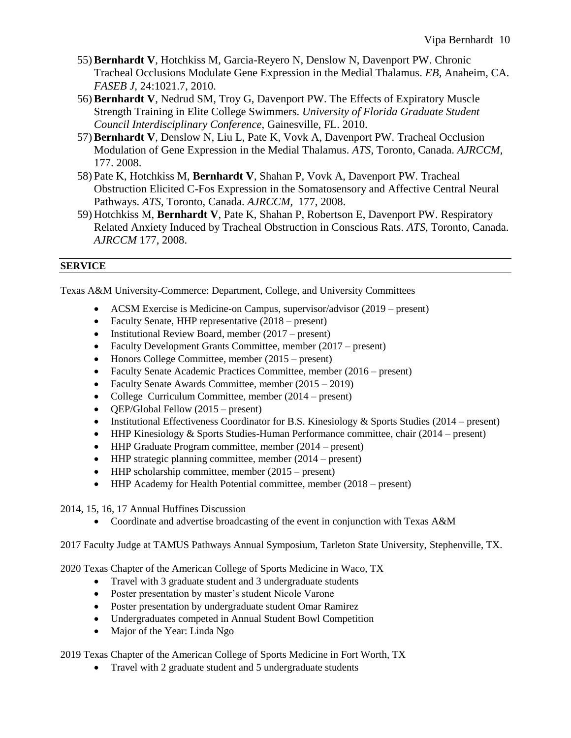- 55)**Bernhardt V**, Hotchkiss M, Garcia-Reyero N, Denslow N, Davenport PW. Chronic Tracheal Occlusions Modulate Gene Expression in the Medial Thalamus. *EB*, Anaheim, CA*. FASEB J*, 24:1021.7, 2010.
- 56)**Bernhardt V**, Nedrud SM, Troy G, Davenport PW. The Effects of Expiratory Muscle Strength Training in Elite College Swimmers. *University of Florida Graduate Student Council Interdisciplinary Conference*, Gainesville, FL. 2010.
- 57)**Bernhardt V**, Denslow N, Liu L, Pate K, Vovk A, Davenport PW. Tracheal Occlusion Modulation of Gene Expression in the Medial Thalamus. *ATS*, Toronto, Canada. *AJRCCM,* 177. 2008.
- 58) Pate K, Hotchkiss M, **Bernhardt V**, Shahan P, Vovk A, Davenport PW. Tracheal Obstruction Elicited C-Fos Expression in the Somatosensory and Affective Central Neural Pathways. *ATS*, Toronto, Canada. *AJRCCM,* 177, 2008.
- 59) Hotchkiss M, **Bernhardt V**, Pate K, Shahan P, Robertson E, Davenport PW. Respiratory Related Anxiety Induced by Tracheal Obstruction in Conscious Rats. *ATS*, Toronto, Canada. *AJRCCM* 177, 2008.

### **SERVICE**

Texas A&M University-Commerce: Department, College, and University Committees

- ACSM Exercise is Medicine-on Campus, supervisor/advisor (2019 present)
- Faculty Senate, HHP representative  $(2018 present)$
- Institutional Review Board, member (2017 present)
- Faculty Development Grants Committee, member (2017 present)
- Honors College Committee, member (2015 present)
- Faculty Senate Academic Practices Committee, member (2016 present)
- Faculty Senate Awards Committee, member (2015 2019)
- College Curriculum Committee, member (2014 present)
- **QEP/Global Fellow (2015 present)**
- Institutional Effectiveness Coordinator for B.S. Kinesiology & Sports Studies (2014 present)
- HHP Kinesiology & Sports Studies-Human Performance committee, chair (2014 present)
- HHP Graduate Program committee, member (2014 present)
- $\bullet$  HHP strategic planning committee, member (2014 present)
- $\bullet$  HHP scholarship committee, member (2015 present)
- HHP Academy for Health Potential committee, member (2018 present)
- 2014, 15, 16, 17 Annual Huffines Discussion
	- Coordinate and advertise broadcasting of the event in conjunction with Texas A&M
- 2017 Faculty Judge at TAMUS Pathways Annual Symposium, Tarleton State University, Stephenville, TX.

2020 Texas Chapter of the American College of Sports Medicine in Waco, TX

- Travel with 3 graduate student and 3 undergraduate students
- Poster presentation by master's student Nicole Varone
- Poster presentation by undergraduate student Omar Ramirez
- Undergraduates competed in Annual Student Bowl Competition
- Major of the Year: Linda Ngo

2019 Texas Chapter of the American College of Sports Medicine in Fort Worth, TX

Travel with 2 graduate student and 5 undergraduate students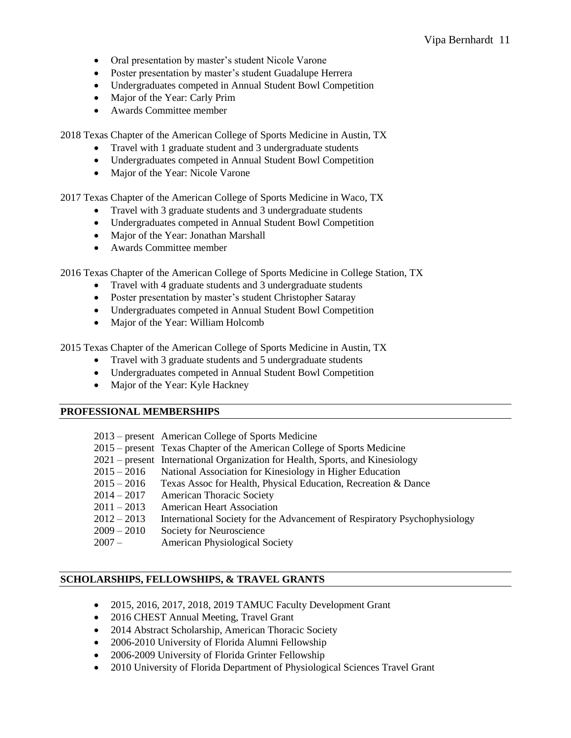- Oral presentation by master's student Nicole Varone
- Poster presentation by master's student Guadalupe Herrera
- Undergraduates competed in Annual Student Bowl Competition
- Major of the Year: Carly Prim
- Awards Committee member

2018 Texas Chapter of the American College of Sports Medicine in Austin, TX

- Travel with 1 graduate student and 3 undergraduate students
- Undergraduates competed in Annual Student Bowl Competition
- Major of the Year: Nicole Varone

2017 Texas Chapter of the American College of Sports Medicine in Waco, TX

- Travel with 3 graduate students and 3 undergraduate students
- Undergraduates competed in Annual Student Bowl Competition
- Major of the Year: Jonathan Marshall
- Awards Committee member

2016 Texas Chapter of the American College of Sports Medicine in College Station, TX

- Travel with 4 graduate students and 3 undergraduate students
- Poster presentation by master's student Christopher Sataray
- Undergraduates competed in Annual Student Bowl Competition
- Major of the Year: William Holcomb

2015 Texas Chapter of the American College of Sports Medicine in Austin, TX

- Travel with 3 graduate students and 5 undergraduate students
- Undergraduates competed in Annual Student Bowl Competition
- Major of the Year: Kyle Hackney

## **PROFESSIONAL MEMBERSHIPS**

- 2013 present American College of Sports Medicine
- 2015 present Texas Chapter of the American College of Sports Medicine
- 2021 present International Organization for Health, Sports, and Kinesiology
- 2015 2016 National Association for Kinesiology in Higher Education
- 2015 2016 Texas Assoc for Health, Physical Education, Recreation & Dance
- 2014 2017 American Thoracic Society
- 2011 2013 American Heart Association
- 2012 2013 International Society for the Advancement of Respiratory Psychophysiology
- 2009 2010 Society for Neuroscience
- 2007 American Physiological Society

## **SCHOLARSHIPS, FELLOWSHIPS, & TRAVEL GRANTS**

- 2015, 2016, 2017, 2018, 2019 TAMUC Faculty Development Grant
- 2016 CHEST Annual Meeting, Travel Grant
- 2014 Abstract Scholarship, American Thoracic Society
- 2006-2010 University of Florida Alumni Fellowship
- 2006-2009 University of Florida Grinter Fellowship
- 2010 University of Florida Department of Physiological Sciences Travel Grant